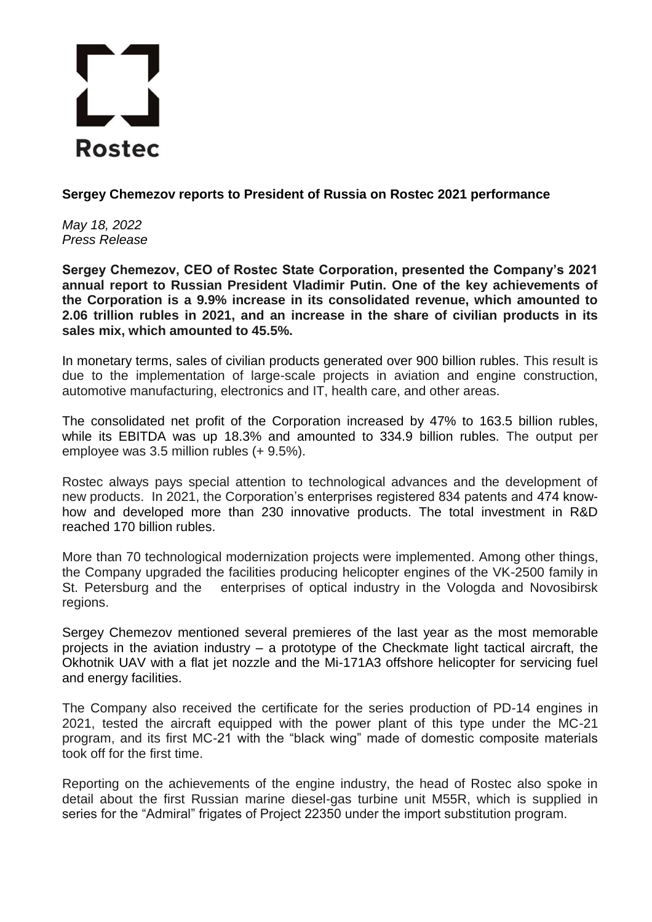## **Rostec**

**Sergey Chemezov reports to President of Russia on Rostec 2021 performance** 

*May 18, 2022 Press Release*

**Sergey Chemezov, CEO of Rosteс State Corporation, presented the Company's 2021 annual report to Russian President Vladimir Putin. One of the key achievements of the Corporation is a 9.9% increase in its consolidated revenue, which amounted to 2.06 trillion rubles in 2021, and an increase in the share of civilian products in its sales mix, which amounted to 45.5%.** 

In monetary terms, sales of civilian products generated over 900 billion rubles. This result is due to the implementation of large-scale projects in aviation and engine construction, automotive manufacturing, electronics and IT, health care, and other areas.

The consolidated net profit of the Corporation increased by 47% to 163.5 billion rubles, while its EBITDA was up 18.3% and amounted to 334.9 billion rubles. The output per employee was 3.5 million rubles (+ 9.5%).

Rostec always pays special attention to technological advances and the development of new products. In 2021, the Corporation's enterprises registered 834 patents and 474 knowhow and developed more than 230 innovative products. The total investment in R&D reached 170 billion rubles.

More than 70 technological modernization projects were implemented. Among other things, the Company upgraded the facilities producing helicopter engines of the VK-2500 family in St. Petersburg and the enterprises of optical industry in the Vologda and Novosibirsk regions.

Sergey Chemezov mentioned several premieres of the last year as the most memorable projects in the aviation industry – a prototype of the Checkmate light tactical aircraft, the Okhotnik UAV with a flat jet nozzle and the Mi-171A3 offshore helicopter for servicing fuel and energy facilities.

The Company also received the certificate for the series production of PD-14 engines in 2021, tested the aircraft equipped with the power plant of this type under the MC-21 program, and its first MC-21 with the "black wing" made of domestic composite materials took off for the first time.

Reporting on the achievements of the engine industry, the head of Rostec also spoke in detail about the first Russian marine diesel-gas turbine unit M55R, which is supplied in series for the "Admiral" frigates of Project 22350 under the import substitution program.